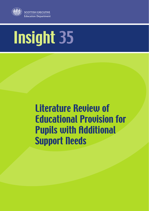

# Insight 35

# Literature Review of Educational Provision for Pupils with Additional Support Needs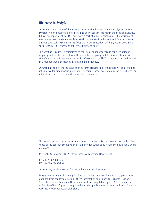# Welcome to Insight

*Insight* is a publication of the research group within Information and Analytical Services Division, which is responsible for providing analytical services within the Scottish Executive Education Department (SEED). Their work is part of a multidisciplinary unit (consisting of researchers, economists and statistics staff) and the staff undertakes and funds economic analysis and social research in the fields of: school education; children, young people and social work: architecture; and tourism, culture and sport.

The Scottish Executive is committed to the use of sound evidence in the development of policy and practice as well as in the evaluation of policy and its implementation. We therefore want to disseminate the results of research that SEED has undertaken and funded, in a manner that is accessible, interesting and attractive.

*Insight* aims to present the essence of research projects in a format that will be useful and informative for practitioners, policy makers, parents, academics, and anyone else who has an interest in economic and social research in these areas.

The views expressed in this *Insight* are those of the author(s) and do not necessarily reflect those of the Scottish Executive or any other organisation(s) by whom the author(s) is or are employed.

Copyright © October 2006, Scottish Executive Education Department

ISSN 1478-6796 (Online) ISSN 1478-6788 (Print)

*Insight* may be photocopied for use within your own institution.

Where Insights are available in print format a limited number of additional copies can be obtained from the Dissemination Officer, Information and Analytical Services Division, Scottish Executive Education Department, Victoria Quay, Edinburgh EH6 6QQ (telephone 0131-244-0894). Copies of Insight and our other publications can be downloaded from our website: www.scotland.gov.uk/insight/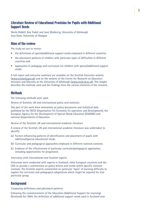# Literature Review of Educational Provision for Pupils with Additional Support Needs

Sheila Riddell, Kay Tisdall and Jane Mulderrig, University of Edinburgh Jean Kane, University of Glasgow

# Aims of the review

The study set out to review:

- the definitions of special/additional support needs employed in different countries
- the placement patterns of children with particular types of difficulties in different countries and
- approaches to pedagogy and curriculum for children with special/additional support needs.

A full report and executive summary are available on the Scottish Executive website (www.scotland.gov.uk) and on the website of the Centre for Research on Education Inclusion and Diversity at the University of Edinburgh (www.creid.ed.ac.uk). This Insight describes the methods used and the findings from the various elements of the research.

# **Methods**

The following methods were used:

*Review of Scottish, UK and international policy and statistics*

This part of the work drew extensively on policy documents and statistical data published by the OECD (Organisation for Economic Co-operation and Development), the European Agency for the Development of Special Needs Education (EADSNE) and national Departments of Education.

#### *Review of the Scottish, UK and international academic literature*

A review of the Scottish, UK and international academic literature was undertaken to identify:

- (a) Factors influencing patterns of identification and placement of pupils with additional/special educational needs.
- (b) Curricular and pedagogical approaches employed in different national contexts.
- (c) Evidence of the effectiveness of particular curricular/pedagogical approaches, including opportunities for progression.

#### *Interviews with international and Scottish experts*

Interviews were conducted with experts in Scotland, other European countries and the USA to provide a commentary on policy drivers and trends within specific national contexts. The Scottish experts commented on particular 'types' of learning difficulty to explore the curricular and pedagogical adaptations which might be required for that particular group.

# **Background**

#### *Comparing definitions and placement patterns*

Following the commencement of the Education (Additional Support for Learning) (Scotland) Act 2004, the definition of additional support needs used in Scotland now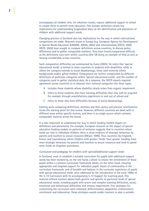encompasses all children who, for whatever reason, require additional support in school to enable them to benefit from education. This broader definition clearly has implications for understanding longitudinal data on the identification and placement of children with additional support needs.

Changing practice in Scotland also has implications for the way in which international comparisons are made. Research teams in Europe (e.g. European Agency for Development in Special Needs Education (EADSNE, 2003b; 200c) and internationally (OECD, 2000; OECD, 2005) have sought to compare definitions across countries, to discuss policy differences and to gather comparable statistics. They have found comparisons difficult, as the definitions vary even within countries (the UK being an example of this) as well as varying considerably across countries.

Such comparative difficulties are summarised by Evans (2003). He notes that 'special educational needs' is limited in some countries to students with disabilities, while in others the category extends to social disadvantage, those with minority ethnic backgrounds and/or gifted children. Comparisons are further complicated by different definitions of particular categories within 'special educational needs', and the number of categories used to gather statistical data. As a response, the OECD reports required agreement across countries to re-allocate their national categories into three types:

- A includes those students whose disability clearly arises from organic impairment
- B refers to those students who have learning difficulties that may well be acquired for example through unsatisfactory experiences in and out of school and
- C refers to those who have difficulties because of social disadvantage.

Existing work comparing definitions, statistics and their policy and practice ramifications forms the starting point for this review. However, different countries are dealt with in different ways within specific reviews, and there is no single source which contains comparable material across the board.

It is also important to understand the way in which funding models impact on definitions and placements. For example, European research on the impact of special education funding models on patterns of inclusion suggests that in countries where funds are tied to individual children, there is more evidence of strategic behaviour by parents and teachers to secure resources (Meijer, 1999). Thus countries like England, France and Luxembourg, where children with greater 'needs' have greater funding, have more strategic behaviour by parents and teachers to secure resources and tend to spend more funds on litigation procedures.

#### *Curriculum and pedagogy for children with special/additional support needs*

In Scotland, work to establish a suitable curriculum for pupils with additional support needs has been marked by, on the one hand, a desire to ensure the entitlement of those pupils within a common curriculum framework whilst, on the other hand, ensuring appropriate and targeted support for individual pupils. Issues of commonality in the curriculum framework, and of breadth and balance in the curricular experience of pupils with special educational needs, were addressed by the introduction in the early 1990s of the 5-14 Curriculum with its accompanying 5-14 Support for Learning pack. This material offered teachers advice both generic and specific to particular kinds of special educational needs, including pupils with severe and complex learning difficulties, social, emotional and behavioural difficulties and sensory impairments. Five strategies for customizing the curriculum were endorsed: differentiation, adaptation, enhancement, enrichment and elaboration. These strategies would enable teachers to plan a suitable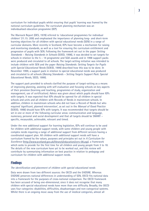curriculum for individual pupils whilst ensuring that pupils' learning was framed by the national curriculum guidelines. The curriculum planning mechanism was an individualised education programme (IEP).

The Warnock Report (DES, 1978) referred to 'educational programmes for individual children' (11.15: 209) and emphasised the importance of planning long- and short-term learning objectives for all children with special educational needs (SEN) in a range of curricular domains. More recently in Scotland, IEPs have become a mechanism for raising and monitoring standards, as well as a tool for ensuring the curriculum entitlement and progression of pupils with SEN. Following the framework set out in the paper *Setting Standards – Raising Standards in Schools* (SOED, 1998), it was decided to set targets for schools in relation to the 5 – 14 programme and SQA awards and in 1998 support packs were produced and circulated to all schools. The target-setting initiative was intended to include children with SEN and the paper *Raising Standards: Setting Targets for Pupils with Special Educational Needs* (SOEID, 1999) described how this was to be done. In November 1999, a support pack in relation to special educational needs was produced and circulated to all schools (*Raising Standards – Setting Targets Support Pack: Special Educational Needs*, SEED, 1999).

The support pack provided to schools clarified the purpose of target-setting as a means of improving planning, assisting with self-evaluation and focusing schools on key aspects of their provision (learning and teaching, programmes of study, organization and management, use of certification). Advice was given about which pupils should have IEPs with targets. It was expected that IEPs should be opened for all children in special schools and units and all children with Records of Needs in mainstream schools. In addition, children in mainstream schools who did not have a Record of Needs but who required 'significant, planned intervention', as set out in the *Manual of Good Practice* (SOEID, 1998) should have IEPs with targets. It was recommended that targets should be set in one or more of the following curricular areas: communication and language, numeracy, personal and social development and that all targets should be SMART – specific, measurable, achievable, relevant and timed.

Under the new additional support for learning legislation, IEPs will continue to be used for children with additional support needs, with some children and young people with complex needs requiring a range of additional support from different services having a coordinated support plan. All children with additional support needs will have a curriculum framed by the values, purposes and principles set out in *A Curriculum for Excellence* (http://www.scotland.gov.uk/library5/education/cerv-00.asp), a framework which seeks to provide for the first time for all children and young people from 3 to 18. The details of the new curriculum have yet to be worked out, and this review will contribute by summarising information on best practice in relation to pedagogy and curriculum for children with additional support needs.

#### **Findings**

#### *The identification and placement of children with special educational needs*

Data were drawn from two different sources: the OECD and the EADSNE. Whereas EADSNE preserves national differences in understanding of SEN, OECD fits national data into a framework for the purposes of cross-national comparison. The OECD framework has been accused of being one-dimensional, since it does not recognise that many children with special educational needs have more than one difficulty. Broadly, the OECD uses four categories: disabilities, difficulties, disadvantages and non-categorical systems. Whilst there is an ongoing move away from the use of medical categories, almost all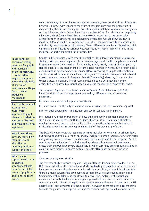countries employ at least nine sub-categories. However, there are significant differences between countries with regard to the types of category used and the proportion of children identified in each category. This is true even in relation to normative categories such as blindness, where Poland identifies more than 0.2% of all children in compulsory education, whilst Greece identifies less than 0.01%. In relation to non-normative categories such as emotional and behavioural difficulties, Canada (New Brunswick) identifies 2.6% of children in compulsory education, compared with Turkey which does not identify any students in this category. These differences may be attributed to social, cultural and administrative variation between countries, rather than variations in the incidence of particular disabilities or difficulties.

Countries differ markedly with regard to whether they allocate additional resources to students with particular impairments or disadvantages, and whether pupils are educated in special or mainstream settings. For example, in Italy, nearly 95% of blind or partially sighted pupils are educated in mainstream classes, whereas in Korea, 80% of such pupils are educated in special schools. In Canada (New Brunswick), all pupils with emotional and behavioural difficulties are educated in regular classes, whereas special schools and classes are more common in Belgium (Flemish Community), Germany, Japan and the United States. In Belgium, (French Community), all pupils with specific learning difficulties are educated in special schools, whereas the reverse is reported for Spain.

The European Agency for the Development of Special Needs Education (EADSNE) identifies three distinctive approaches adopted by different countries to school placement:

- (i) one-track almost all pupils in mainstream
- (ii) multi-track multiplicity of approaches to inclusion, the most common approach
- (iii) two-track approaches mainstream and special schools run in parallel.

Internationally, a higher proportion of boys than girls receive additional support for special educational needs. The OECD suggests that this is due to a range of factors, ranging from boys' greater vulnerability to illness, genetic problems and behavioural difficulties, as well as the growing 'feminisation' of the teaching profession.

The EADSNE report notes that teachers perceive inclusion to work well at primary level, but believe that problems arise at secondary level due to school organisation, topic focus and growing distance between the child with special needs and his or her peers. Parents tend to support education in inclusive settings where this is the established model, unless their children have severe disabilities, in which case they prefer special settings. In countries with highly segregated systems, parents often lobby for more inclusive provision.

#### *Focus on country case studies*

The five case study countries (England, Belgium (Flemish Community), Sweden, Greece, US) contained within the review demonstrate contrasting approaches to the dilemma of inclusive versus specialist placement and curriculum provision, although in all countries there is a trend towards the development of more inclusive approaches. The Flemish Community within Belgium is the closest to a two-track system, with special and mainstream schools divided and running along parallel lines. Greece is close to a onetrack system, with almost all pupils in mainstream schools. Sweden, England and the US operate multi-track systems, as does Scotland. In Sweden there has been a recent trend towards the greater use of special settings for children with special educational needs,

**In Scotland, are particular settings preferred for pupils with particular 'types' of difficulty? To what extent might assumptions about the suitability of special or mainstream settings for particular groups be challenged?**

**Scotland is regarded as adopting a multi-track approach to pupil placement. What do you see as the pros and cons of such an approach?**

**Why do you think boys are more likely than girls to be identified as requiring additional support in school?**

**What type of support needs to be in place in secondary schools to better meet the needs of pupils with additional support needs?**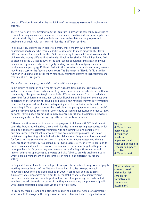due to difficulties in ensuring the availability of the necessary resources in mainstream settings.

There is no clear view emerging from the literature in any of the case study countries as to which setting, mainstream or special, provides more positive outcomes for pupils. This is due to difficulty in gathering reliable and comparable data on the progress and attainment of pupils with particular difficulties in different settings.

In all countries, systems are in place to identify those children who have special educational needs and who require additional resources to make progress. This takes different forms, for example, in the US it is mandatory to conduct formal assessments of children who may qualify as disabled under disability legislation. All children identified as disabled in the US (about 12% of the total school population) must have Individual Education Programmes, which are legally binding documents specifying resources, curriculum and pedagogy. If dissatisfied with their substance or implementation, parents may bring a case to the federal appeal court. The Statement of Needs fulfils a similar function in England, but in the other case study countries systems of identification and assessment are less rigorous.

#### *Curriculum and pedagogy for children with additional support needs*

Some groups of pupils in some countries are excluded from national curricula and systems of assessment and certification (e.g. some pupils in special schools in the Flemish community of Belgium are taught an entirely different curriculum from that which is prescribed for children in mainstream schools). Elsewhere, as in Scotland, there has been adherence to the principle of including all pupils in the national systems. Differentiation is seen as the principal mechanism underpinning effective inclusion, with teachers developing different approaches to the curriculum and pedagogy in response to pupils' varying learning needs. For children who require curriculum adaptation in order to learn, personal learning goals are set out in Individualised Educational Programmes. However, research suggests that teachers vary greatly in their skills in this area.

Different practices are used to monitor the progress of children with SEN in different countries, but, as noted earlier, there are difficulties in implementing approaches which combine a formative assessment function with the summative and comparative outcomes needed for school improvement and accountability purposes. The use of individual target-setting within Individualised Educational Programmes has been used for formative and summative purposes. In relation to formative assessment, there is evidence that this strategy has helped in clarifying successive 'next steps' in learning for pupils, parents and teachers. However, the summative purpose of target-setting has been more problematic. Target-setting was perceived as conflicting with formative and learner-orientated approaches to progress and also failed to provide attainment data which enabled comparisons of pupil progress in similar and different educational settings.

In England, P scales have been developed to support the structured progression of pupils working towards Level 1 of the National Curriculum. P scales attempt to break knowledge down into 'bite-sized' chunks. In 2006, P scales will be used to assess summative and comparative outcomes for accountability and school improvement purposes. P scales are seen as a helpful tool in curriculum planning for teachers, but whether they will be useful in terms of tracking and comparing the progress of pupils with special educational needs has yet to be fully assessed.

In Scotland, there are ongoing difficulties in devising a national system of assessment which is able to recognise the progress of all pupils. Standard Grade is regarded as too

**Why is differentiation perceived as difficult for teachers to implement and what can be done in schools to support effective differentiation?**

**What practices are currently used within Scottish schools for formative and summative assessment?**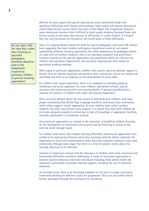difficult for some pupils with special educational needs, particularly those with significant difficulties with literacy and numeracy. Some pupils with special educational needs follow Access courses which form part of the Higher Still programme. However, some mainstream teachers find it difficult to teach pupils studying Standard Grade and Access courses in the same class because of differences in course content. It is hoped that the new Curriculum for Excellence will rectify some of these difficulties.

**Do you agree with the idea that, rather than focusing on specialist pedagogies, attention should be paid to the adaptations required by particular children to general teaching approaches?**

There are ongoing debates about the need for special pedagogies, and recent UK reviews have suggested that most children with special educational needs do not require qualitatively different teaching approaches, but rather adaptations to pedagogies which are used with all children. However, there is an abundant academic and practitioner literature setting out the specific approaches and adaptations which are effective for children with particular impairments, and voluntary organisations often lobby for specialised teaching methods.

With regard to particular adaptations, children with autistic spectrum disorder appear to benefit from an ordered classroom environment where extraneous stimuli are limited and controlled and there is an emphasis on the development of social skills.

For children with visual impairment, there is an emphasis on extending physical, intellectual and social capacities. For some children, specialised software may be necessary and others may benefit from learning Braille. A specialist qualification is required for teachers of children with visual and hearing impairment.

There are fierce debates about the best means of educating deaf children, with some people maintaining that British Sign Language should be used much more extensively, whilst others support 'oralist' approaches. As more children have earlier cochlear implants, the latter may become more popular. It is argued that many deaf children do not make adequate progress in school due to lack of knowledge of appropriate teaching methods, particularly in mainstream settings.

Very particular approaches are needed in the education of deafblind children, focusing on the development of attachment and security and the fostering of access to the external world through touch.

For children with severe and complex learning difficulties, behaviourist approaches have tended to be replaced by Intensive Interaction teaching methods, which emphasise the importance of social and communication skills. Specialist computer software is also used extensively, although some argue that there is a need for greater clarity about the learning objectives to be achieved.

Teachers in mainstream schools find the education of children with social, emotional and behavioural difficulties extremely challenging. A range of innovative approaches to promote positive behaviour have been developed including those which modify the classroom environment to provide intensive support, including the use of classroom assistants.

At secondary level, there is an increasing emphasis on the use of a single curriculum framework allowing for different routes for progression. This is an area which will be further developed through the Curriculum for Excellence.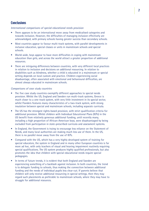# **Conclusions**

#### *International comparisons of special educational needs provision*

- There appears to be an international move away from medicalised categories and towards inclusion. However, the difficulties of managing inclusion effectively are acknowledged, with primary schools having greater success than secondary schools.
- Most countries appear to favour multi-track systems, with parallel developments in inclusive education, special classes or units in mainstream schools and special schools.
- World-wide, boys appear to have more difficulties in coping with mainstream education than girls, and across the world attract a greater proportion of additional resources.
- There are intriguing differences between countries, with very different local practices in relation to inclusion and decisions on additional resourcing. In relation to disabilities such as blindness, whether a child is educated in a mainstream or special setting depends on local custom and practice. Children experiencing social disadvantage, often associated with emotional and behavioural difficulties, are almost always educated in mainstream schools.

#### *Comparisons of case study countries*

- The five case study countries exemplify different approaches to special needs provision. Whilst the US, England and Sweden run multi-track systems, Greece is much closer to a one-track system, with very little investment in its special sector, whilst Flanders features many characteristics of a two-track system, with strong insulation between special and mainstream schools, including separate curricula.
- The US has the strongest rights-based provision, with strict qualification criteria for additional provision. Whilst children with Individual Educational Plans (IEPs) in the US benefit from relatively generous additional funding, until recently many, including a high proportion of African-American boys, were disadvantaged by being excluded from participation in state-prescribed curricula and assessment systems.
- In England, the Government is trying to encourage less reliance on the Statement of Needs, and many local authorities are making much less use of them. In the US, there is no parallel move away from the use of IEPs.
- Compared with the US, which has a very highly developed system of training for special educators, the system in England and in many other European countries is far more ad hoc, with only teachers of visual and hearing impairment routinely requiring special qualifications. The US system produces highly qualified professionals, but also promotes the idea that children with special educational needs require special pedagogies.
- In terms of future trends, it is evident that both England and Sweden are experiencing something of a backlash against inclusion. In both countries, the trend is to delegate funding to schools, thus making the connection between additional funding and the needs of individual pupils less clear-cut. If parents believe that children will only receive additional resourcing in special settings, then they may regard such placements as preferable to mainstream schools, where they may have to struggle for additional resources.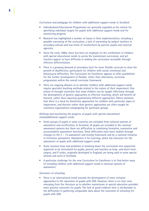#### *Curriculum and pedagogy for children with additional support needs in Scotland*

- Individualised Educational Programmes are generally regarded as the vehicle for specifying individual targets for pupils with additional support needs and for monitoring progress.
- Research has highlighted a number of issues in their implementation, including a possible narrowing of the curriculum, a lack of ownership by subject teachers in secondary schools and low levels of involvement by parents, pupils and external agencies.
- Since the early 1980s, there has been an emphasis on the entitlement of children with special educational needs to access the mainstream curriculum, and yet teachers appear to have difficulty in making the curriculum accessible through effective differentiation.
- There is a growing demand at secondary level for more flexible curricula to stem the growth of disaffection, particularly for children with social, emotional and behavioural difficulties. The Curriculum for Excellence appears to offer possibilities for the further development of flexible, rather than alternative, curricular programmes within the overall curricular framework.
- There are ongoing debates as to whether children with additional support needs require specialist teaching methods related to the nature of their impairment. One school of thought maintains that most children can be taught effectively through the development of generic approaches to effective teaching, which will benefit all learners, rather than requiring qualitatively different approaches. Others maintain that there is a need for distinctive approaches for children with particular types of impairment, and discrete rather than generic approaches are often sought by voluntary organisations campaigning for particular groups.

#### *Defining and monitoring the progress of pupils with special educational needs/additional support needs*

- Some groups of pupils in some countries are excluded from national systems of assessment and certification. In Scotland, all pupils are included in the national assessment systems but there are difficulties in combining formative, summative and accountability assessment functions. These difficulties have been tackled through changes to the 5 – 14 assessment and testing framework and by a national initiative in formative assessment, Assessment is for Learning, which has relevance for the assessment of pupils with additional support needs.
- Some teachers have had problems in breaking down the curriculum into sequential segments to be articulated for pupils, parents and teachers as long- and short-term targets, and P scales, originally developed in England, are being used in some special schools and units in Scotland.
- A particular challenge for the new Curriculum for Excellence is to find better ways of including children with additional support needs in national systems of assessment.

#### *Outcomes of schooling*

• There is an international trend towards the development of more inclusive approaches to the education of pupils with SEN. However, there is no clear view emerging from the literature as to whether mainstream or special education provided more positive outcomes for pupils. The lack of good evidence here is attributable to the difficulties in gathering comparable data about the outcomes of schooling for pupils with SEN.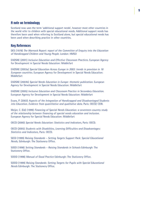### A note on terminology

Scotland now uses the term 'additional support needs', however most other countries in the world refer to children with special educational needs. Additional support needs has therefore been used when referring to Scotland alone, but special educational needs has been used when describing practice in other countries.

## Key References

DES (1978) *The Warnock Report: report of the Committee of Enquiry into the Education of Handicapped Children and Young People*. London: HMSO

EADSNE (2001) *Inclusive Education and Effective Classroom Practices*. European Agency for Development in Special Needs Education: Middlefart

EADSNE (2003a) *Special Education Across Europe in 2003: trends in provision in 18 European countries.* European Agency for Development in Special Needs Education: Middlefart

EADSNE (2003b) *Special Needs Education in Europe*: *thematic publication.* European Agency for Development in Special Needs Education: Middlefart

EADSNE (2005) *Inclusive Education and Classroom Practice in Secondary Education*. European Agency for Development in Special Needs Education: Middlefart

Evans, P. (2003) *Aspects of the Integration of Handicapped and Disadvantaged Students into Education. Evidence from quantitative and qualitative data*. Paris: OECD/ CERI.

Meijer, C. (Ed) (1999) *Financing of Special Needs Education: a seventeen-country study of the relationship between financing of special needs education and inclusion*. European Agency for Special Needs Education: Middlefart

OECD (2000) *Special Needs Education: Statistics and Indicators*, Paris: OECD.

OECD (2005) *Students with Disabilities, Learning Difficulties and Disadvantages: Statistics and Indicators*, Paris: OECD.

SEED (1999) *Raising Standards – Setting Targets Support Pack: Special Educational Needs*, Edinburgh: The Stationery Office.

SOED (1998) *Setting Standards – Raising Standards in Schools* Edinburgh: The Stationery Office.

SOEID (1998) *Manual of Good Practice* Edinburgh: The Stationery Office.

SOEID (1999) *Raising Standards: Setting Targets for Pupils with Special Educational Needs* Edinburgh: The Stationery Office.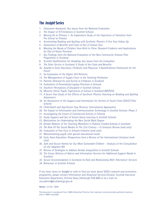# The Insight Series

- 1. *Classroom Assistants: Key Issues from the National Evaluation*
- 2. *The Impact of ICT Initiatives in Scottish Schools*
- 3. *Moving On to Primary 1: An Exploratory Study of the Experience of Transition from Pre-School to Primary*
- 4. *Accelerating Reading and Spelling with Synthetic Phonics: A Five Year Follow Up*
- 5. *Assessment of Benefits and Costs of Out of School Care*
- 6. *Meeting the Needs of Children from Birth to Three: Research Evidence and Implications for Out-of-Home Provision*
- 7. *Key Findings from the National Evaluation of the New Community Schools Pilot Programme in Scotland*
- 8. *Scottish Qualification for Headship: Key Issues from the Evaluation*
- 9. *The Sitter Service in Scotland: A Study of the Costs and Benefits*
- 10. *Awards in Early Education, Childcare and Playwork: A Qualifications Framework for the Future*
- 11. *An Evaluation of the Higher Still Reforms*
- 12. *The Management of Supply Cover in the Teaching Profession*
- 13. *Parents' Demand for and Access to Childcare in Scotland*
- 14. *Evaluation of Personalised Laptop Provision in Schools*
- 15. *Teachers' Perceptions of Discipline in Scottish Schools*
- 16. *Minority Ethnic Pupils' Experiences of School in Scotland (MEPESS)*
- 17. *A Seven Year Study of the Effects of Synthetic Phonics Teaching on Reading and Spelling Attainment*
- 18. *An Assessment of the Support and Information for Victims of Youth Crime (SIVYC) Pilot Scheme*
- 19. *Child Death and Significant Case Reviews: International Approaches*
- 20. *The Impact of Information and Communication Technology in Scottish Schools: Phase 3*
- 21. *Investigating the Extent of Commercial Activity in Schools*
- 22. *Study Support and Out of School Hours Learning in Scottish Schools*
- 23. *Motivations for Undertaking the New Social Work Degree*
- 24. *Gender Balance of the Teaching Workforce in Publicly Funded Schools in Scotland*
- 25. *The Role Of The Social Worker In The 21st Century A Literature Review (web only)*
- 26. *Evaluation of Free Fruit in Schools Initiative (web only)*
- 27. *Mainstreaming pupils with special educational needs*
- 28. *Early Years Education: Perspectives from a Review of the International Literature (web only)*
- 30. *Safe and Secure Homes for Our Most Vulnerable Children Analysis of the Consultation on the Adoption Bill*
- *31. Review of Strategies to Address Gender Inequalities in Scottish Schools*
- *32. The Future Delivery of Advice and Information Services for Additional Support Needs in Scotland*
- *33. Secure Accommodation in Scotland: Its Role and Relationship With 'Alternative' Services*
- *34. Behaviour in Scottish Schools*

If you have views on *Insight* or wish to find out more about SEED's research and economics programme, please contact Information and Analytical Services Division, Scottish Executive Education Department, Victoria Quay, Edinburgh EH6 6QQ or by e-mail on recs.admin@scotland.gsi.gov.uk

#### **Astron** 211156 10/06

This document is produced from 100% Elemental Chlorine-free material, environmentally preferred material and is 100% recyclable.